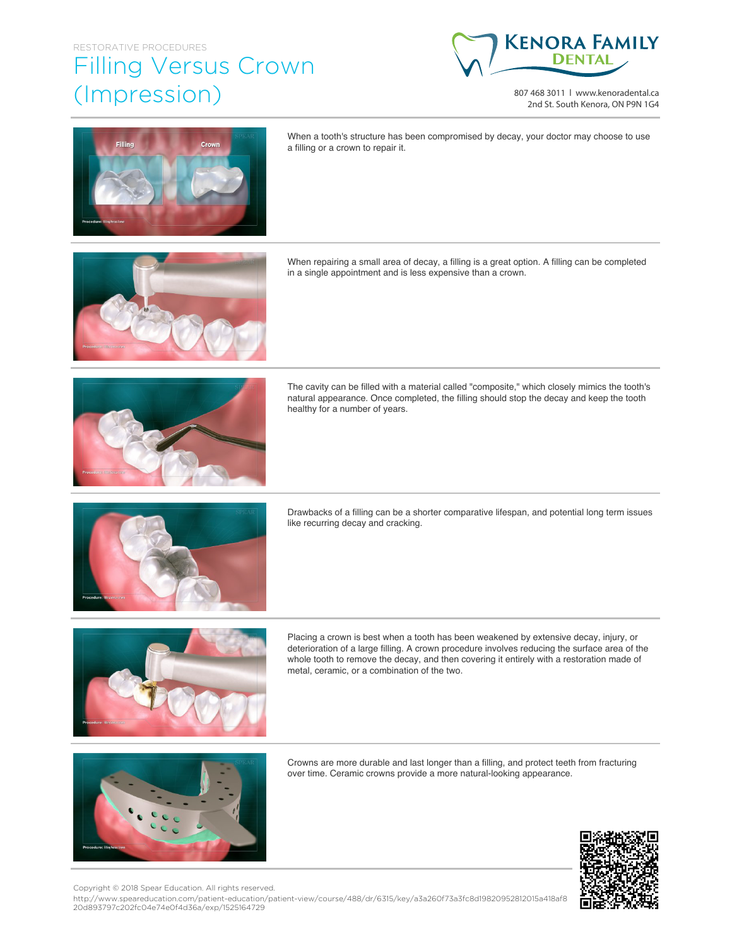## Filling Versus Crown (Impression)



807 468 3011 | www.kenoradental.ca 2nd St. South Kenora, ON P9N 1G4



When a tooth's structure has been compromised by decay, your doctor may choose to use a filling or a crown to repair it.

When repairing a small area of decay, a filling is a great option. A filling can be completed in a single appointment and is less expensive than a crown.



The cavity can be filled with a material called "composite," which closely mimics the tooth's natural appearance. Once completed, the filling should stop the decay and keep the tooth healthy for a number of years.



Drawbacks of a filling can be a shorter comparative lifespan, and potential long term issues like recurring decay and cracking.



Placing a crown is best when a tooth has been weakened by extensive decay, injury, or deterioration of a large filling. A crown procedure involves reducing the surface area of the whole tooth to remove the decay, and then covering it entirely with a restoration made of metal, ceramic, or a combination of the two.



Crowns are more durable and last longer than a filling, and protect teeth from fracturing over time. Ceramic crowns provide a more natural-looking appearance.



Copyright © 2018 Spear Education. All rights reserved.

http://www.speareducation.com/patient-education/patient-view/course/488/dr/6315/key/a3a260f73a3fc8d19820952812015a418af8 20d893797c202fc04e74e0f4d36a/exp/1525164729